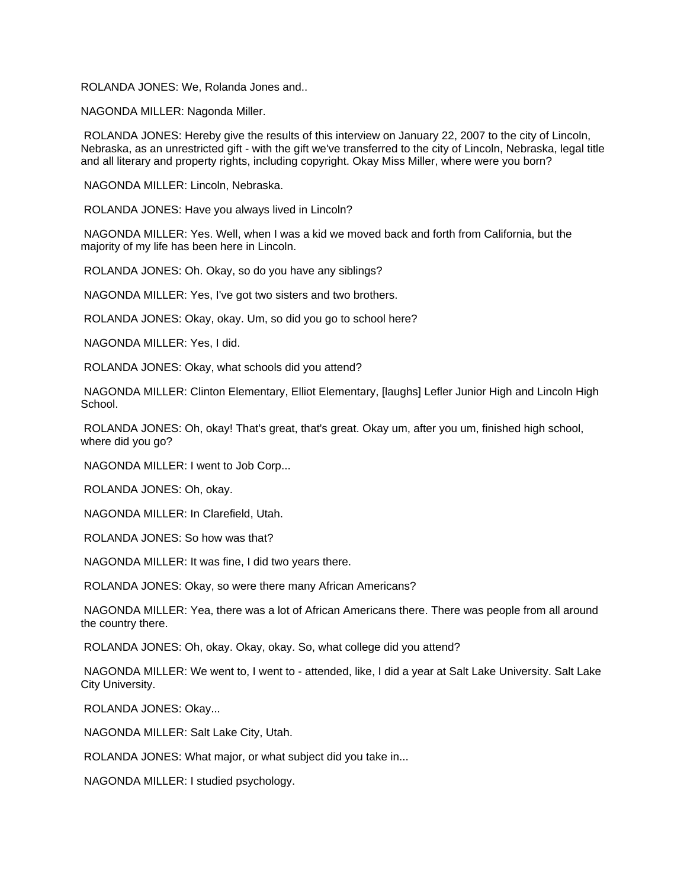ROLANDA JONES: We, Rolanda Jones and..

NAGONDA MILLER: Nagonda Miller.

 ROLANDA JONES: Hereby give the results of this interview on January 22, 2007 to the city of Lincoln, Nebraska, as an unrestricted gift - with the gift we've transferred to the city of Lincoln, Nebraska, legal title and all literary and property rights, including copyright. Okay Miss Miller, where were you born?

NAGONDA MILLER: Lincoln, Nebraska.

ROLANDA JONES: Have you always lived in Lincoln?

 NAGONDA MILLER: Yes. Well, when I was a kid we moved back and forth from California, but the majority of my life has been here in Lincoln.

ROLANDA JONES: Oh. Okay, so do you have any siblings?

NAGONDA MILLER: Yes, I've got two sisters and two brothers.

ROLANDA JONES: Okay, okay. Um, so did you go to school here?

NAGONDA MILLER: Yes, I did.

ROLANDA JONES: Okay, what schools did you attend?

 NAGONDA MILLER: Clinton Elementary, Elliot Elementary, [laughs] Lefler Junior High and Lincoln High School.

 ROLANDA JONES: Oh, okay! That's great, that's great. Okay um, after you um, finished high school, where did you go?

NAGONDA MILLER: I went to Job Corp...

ROLANDA JONES: Oh, okay.

NAGONDA MILLER: In Clarefield, Utah.

ROLANDA JONES: So how was that?

NAGONDA MILLER: It was fine, I did two years there.

ROLANDA JONES: Okay, so were there many African Americans?

 NAGONDA MILLER: Yea, there was a lot of African Americans there. There was people from all around the country there.

ROLANDA JONES: Oh, okay. Okay, okay. So, what college did you attend?

 NAGONDA MILLER: We went to, I went to - attended, like, I did a year at Salt Lake University. Salt Lake City University.

ROLANDA JONES: Okay...

NAGONDA MILLER: Salt Lake City, Utah.

ROLANDA JONES: What major, or what subject did you take in...

NAGONDA MILLER: I studied psychology.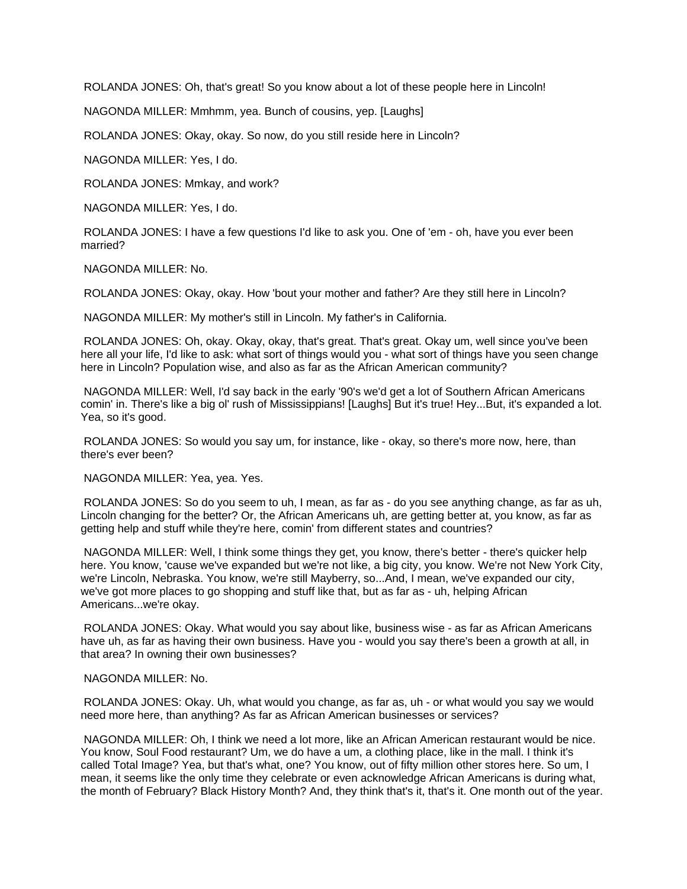ROLANDA JONES: Oh, that's great! So you know about a lot of these people here in Lincoln!

NAGONDA MILLER: Mmhmm, yea. Bunch of cousins, yep. [Laughs]

ROLANDA JONES: Okay, okay. So now, do you still reside here in Lincoln?

NAGONDA MILLER: Yes, I do.

ROLANDA JONES: Mmkay, and work?

NAGONDA MILLER: Yes, I do.

 ROLANDA JONES: I have a few questions I'd like to ask you. One of 'em - oh, have you ever been married?

NAGONDA MILLER: No.

ROLANDA JONES: Okay, okay. How 'bout your mother and father? Are they still here in Lincoln?

NAGONDA MILLER: My mother's still in Lincoln. My father's in California.

 ROLANDA JONES: Oh, okay. Okay, okay, that's great. That's great. Okay um, well since you've been here all your life, I'd like to ask: what sort of things would you - what sort of things have you seen change here in Lincoln? Population wise, and also as far as the African American community?

 NAGONDA MILLER: Well, I'd say back in the early '90's we'd get a lot of Southern African Americans comin' in. There's like a big ol' rush of Mississippians! [Laughs] But it's true! Hey...But, it's expanded a lot. Yea, so it's good.

 ROLANDA JONES: So would you say um, for instance, like - okay, so there's more now, here, than there's ever been?

NAGONDA MILLER: Yea, yea. Yes.

 ROLANDA JONES: So do you seem to uh, I mean, as far as - do you see anything change, as far as uh, Lincoln changing for the better? Or, the African Americans uh, are getting better at, you know, as far as getting help and stuff while they're here, comin' from different states and countries?

 NAGONDA MILLER: Well, I think some things they get, you know, there's better - there's quicker help here. You know, 'cause we've expanded but we're not like, a big city, you know. We're not New York City, we're Lincoln, Nebraska. You know, we're still Mayberry, so...And, I mean, we've expanded our city, we've got more places to go shopping and stuff like that, but as far as - uh, helping African Americans...we're okay.

 ROLANDA JONES: Okay. What would you say about like, business wise - as far as African Americans have uh, as far as having their own business. Have you - would you say there's been a growth at all, in that area? In owning their own businesses?

## NAGONDA MILLER: No.

 ROLANDA JONES: Okay. Uh, what would you change, as far as, uh - or what would you say we would need more here, than anything? As far as African American businesses or services?

 NAGONDA MILLER: Oh, I think we need a lot more, like an African American restaurant would be nice. You know, Soul Food restaurant? Um, we do have a um, a clothing place, like in the mall. I think it's called Total Image? Yea, but that's what, one? You know, out of fifty million other stores here. So um, I mean, it seems like the only time they celebrate or even acknowledge African Americans is during what, the month of February? Black History Month? And, they think that's it, that's it. One month out of the year.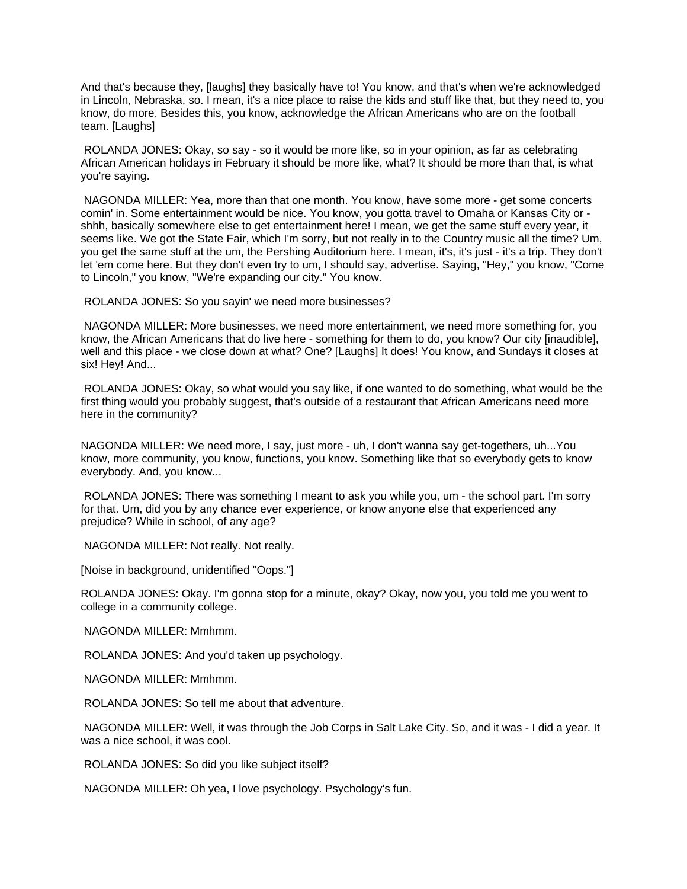And that's because they, [laughs] they basically have to! You know, and that's when we're acknowledged in Lincoln, Nebraska, so. I mean, it's a nice place to raise the kids and stuff like that, but they need to, you know, do more. Besides this, you know, acknowledge the African Americans who are on the football team. [Laughs]

 ROLANDA JONES: Okay, so say - so it would be more like, so in your opinion, as far as celebrating African American holidays in February it should be more like, what? It should be more than that, is what you're saying.

 NAGONDA MILLER: Yea, more than that one month. You know, have some more - get some concerts comin' in. Some entertainment would be nice. You know, you gotta travel to Omaha or Kansas City or shhh, basically somewhere else to get entertainment here! I mean, we get the same stuff every year, it seems like. We got the State Fair, which I'm sorry, but not really in to the Country music all the time? Um, you get the same stuff at the um, the Pershing Auditorium here. I mean, it's, it's just - it's a trip. They don't let 'em come here. But they don't even try to um, I should say, advertise. Saying, "Hey," you know, "Come to Lincoln," you know, "We're expanding our city." You know.

ROLANDA JONES: So you sayin' we need more businesses?

 NAGONDA MILLER: More businesses, we need more entertainment, we need more something for, you know, the African Americans that do live here - something for them to do, you know? Our city [inaudible], well and this place - we close down at what? One? [Laughs] It does! You know, and Sundays it closes at six! Hey! And...

 ROLANDA JONES: Okay, so what would you say like, if one wanted to do something, what would be the first thing would you probably suggest, that's outside of a restaurant that African Americans need more here in the community?

NAGONDA MILLER: We need more, I say, just more - uh, I don't wanna say get-togethers, uh...You know, more community, you know, functions, you know. Something like that so everybody gets to know everybody. And, you know...

 ROLANDA JONES: There was something I meant to ask you while you, um - the school part. I'm sorry for that. Um, did you by any chance ever experience, or know anyone else that experienced any prejudice? While in school, of any age?

NAGONDA MILLER: Not really. Not really.

[Noise in background, unidentified "Oops."]

ROLANDA JONES: Okay. I'm gonna stop for a minute, okay? Okay, now you, you told me you went to college in a community college.

NAGONDA MILLER: Mmhmm.

ROLANDA JONES: And you'd taken up psychology.

NAGONDA MILLER: Mmhmm.

ROLANDA JONES: So tell me about that adventure.

 NAGONDA MILLER: Well, it was through the Job Corps in Salt Lake City. So, and it was - I did a year. It was a nice school, it was cool.

ROLANDA JONES: So did you like subject itself?

NAGONDA MILLER: Oh yea, I love psychology. Psychology's fun.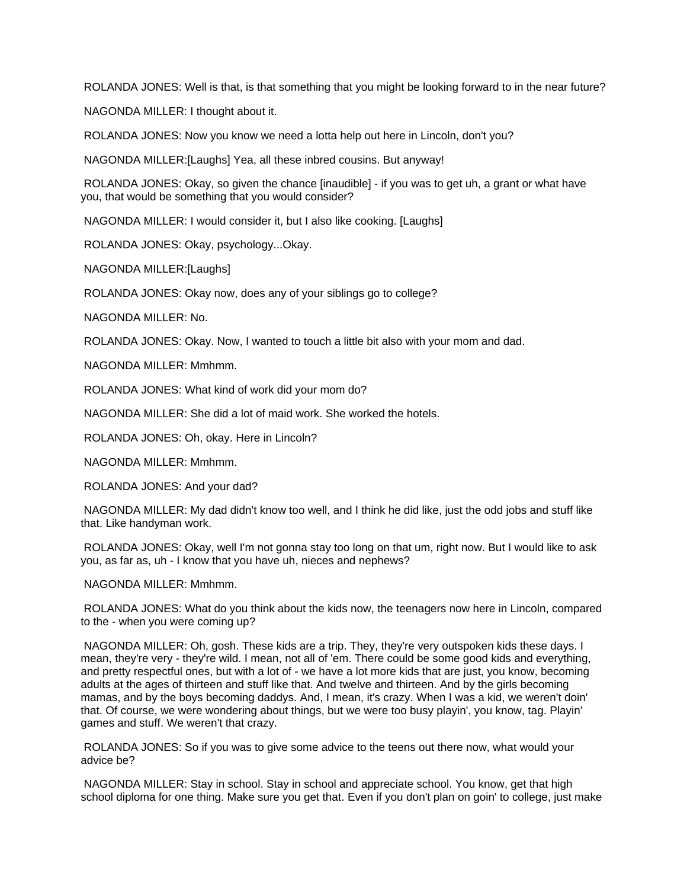ROLANDA JONES: Well is that, is that something that you might be looking forward to in the near future?

NAGONDA MILLER: I thought about it.

ROLANDA JONES: Now you know we need a lotta help out here in Lincoln, don't you?

NAGONDA MILLER:[Laughs] Yea, all these inbred cousins. But anyway!

 ROLANDA JONES: Okay, so given the chance [inaudible] - if you was to get uh, a grant or what have you, that would be something that you would consider?

NAGONDA MILLER: I would consider it, but I also like cooking. [Laughs]

ROLANDA JONES: Okay, psychology...Okay.

NAGONDA MILLER:[Laughs]

ROLANDA JONES: Okay now, does any of your siblings go to college?

NAGONDA MILLER: No.

ROLANDA JONES: Okay. Now, I wanted to touch a little bit also with your mom and dad.

NAGONDA MILLER: Mmhmm.

ROLANDA JONES: What kind of work did your mom do?

NAGONDA MILLER: She did a lot of maid work. She worked the hotels.

ROLANDA JONES: Oh, okay. Here in Lincoln?

NAGONDA MILLER: Mmhmm.

ROLANDA JONES: And your dad?

 NAGONDA MILLER: My dad didn't know too well, and I think he did like, just the odd jobs and stuff like that. Like handyman work.

 ROLANDA JONES: Okay, well I'm not gonna stay too long on that um, right now. But I would like to ask you, as far as, uh - I know that you have uh, nieces and nephews?

NAGONDA MILLER: Mmhmm.

 ROLANDA JONES: What do you think about the kids now, the teenagers now here in Lincoln, compared to the - when you were coming up?

 NAGONDA MILLER: Oh, gosh. These kids are a trip. They, they're very outspoken kids these days. I mean, they're very - they're wild. I mean, not all of 'em. There could be some good kids and everything, and pretty respectful ones, but with a lot of - we have a lot more kids that are just, you know, becoming adults at the ages of thirteen and stuff like that. And twelve and thirteen. And by the girls becoming mamas, and by the boys becoming daddys. And, I mean, it's crazy. When I was a kid, we weren't doin' that. Of course, we were wondering about things, but we were too busy playin', you know, tag. Playin' games and stuff. We weren't that crazy.

 ROLANDA JONES: So if you was to give some advice to the teens out there now, what would your advice be?

 NAGONDA MILLER: Stay in school. Stay in school and appreciate school. You know, get that high school diploma for one thing. Make sure you get that. Even if you don't plan on goin' to college, just make